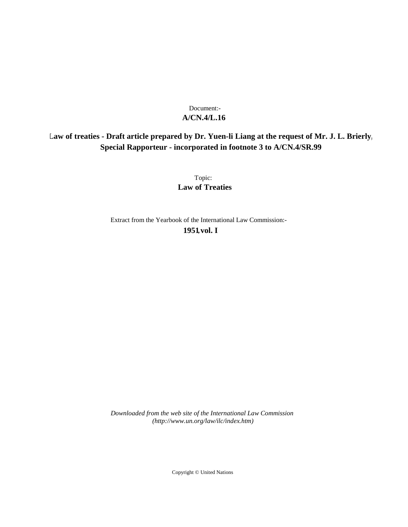## **A/CN.4/L.16** Document:-

## **Law of treaties - Draft article prepared by Dr. Yuen-li Liang at the request of Mr. J. L. Brierly, Special Rapporteur - incorporated in footnote 3 to A/CN.4/SR.99**

Topic: **Law of Treaties**

Extract from the Yearbook of the International Law Commission:- **1951** ,**vol. I**

*Downloaded from the web site of the International Law Commission (http://www.un.org/law/ilc/index.htm)*

Copyright © United Nations